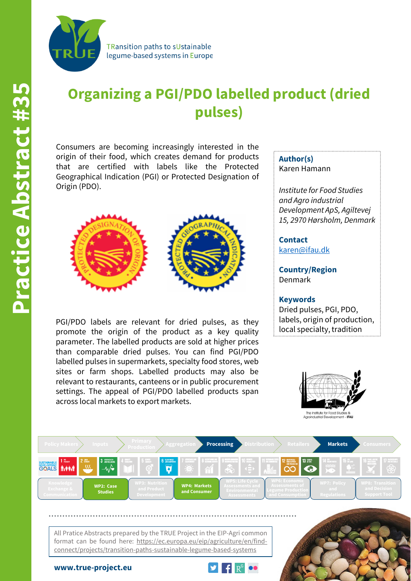

TRansition paths to sUstainable legume-based systems in Europe

## **Organizing a PGI/PDO labelled product (dried pulses)**

Consumers are becoming increasingly interested in the origin of their food, which creates demand for products that are certified with labels like the Protected Geographical Indication (PGI) or Protected Designation of Origin (PDO).



PGI/PDO labels are relevant for dried pulses, as they promote the origin of the product as a key quality parameter. The labelled products are sold at higher prices than comparable dried pulses. You can find PGI/PDO labelled pulses in supermarkets, specialty food stores, web sites or farm shops. Labelled products may also be relevant to restaurants, canteens or in public procurement settings. The appeal of PGI/PDO labelled products span across local markets to export markets.

**Author(s)** Karen Hamann

*Institute for Food Studies and Agro industrial Development ApS, Agiltevej 15, 2970 Hørsholm, Denmark*

**Contact** [karen@ifau.dk](mailto:karen@ifau.dk)

**Country/Region** Denmark

**Keywords** Dried pulses, PGI, PDO, labels, origin of production, local specialty, tradition





All Pratice Abstracts prepared by the TRUE Project in the EIP-Agri common format can be found here: https://ec.europa.eu/eip/agriculture/en/findconnect/projects/transition-paths-sustainable-legume-based-systems

**www.true-project.eu**